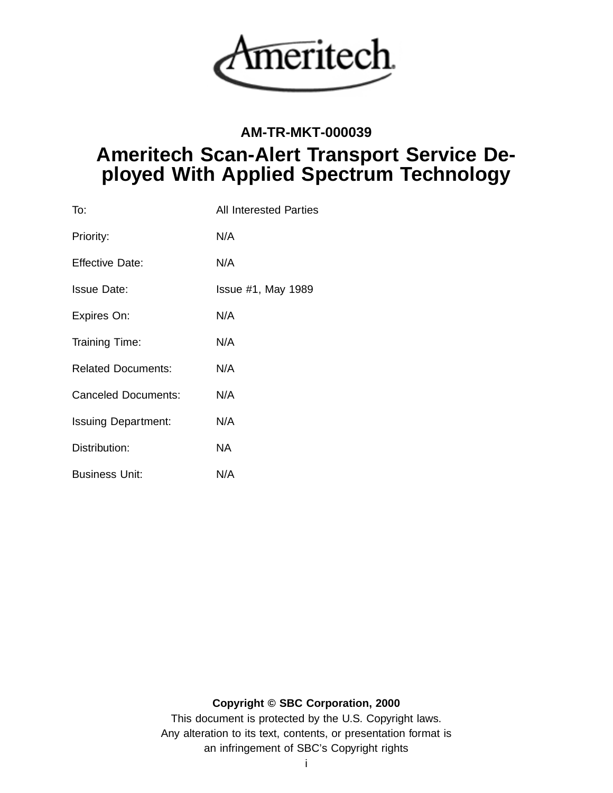

## **AM-TR-MKT-000039**

# **Ameritech Scan-Alert Transport Service Deployed With Applied Spectrum Technology**

| To:                        | <b>All Interested Parties</b> |
|----------------------------|-------------------------------|
| Priority:                  | N/A                           |
| <b>Effective Date:</b>     | N/A                           |
| <b>Issue Date:</b>         | <b>Issue #1, May 1989</b>     |
| Expires On:                | N/A                           |
| Training Time:             | N/A                           |
| <b>Related Documents:</b>  | N/A                           |
| Canceled Documents:        | N/A                           |
| <b>Issuing Department:</b> | N/A                           |
| Distribution:              | NA.                           |
| <b>Business Unit:</b>      | N/A                           |

## **Copyright © SBC Corporation, 2000**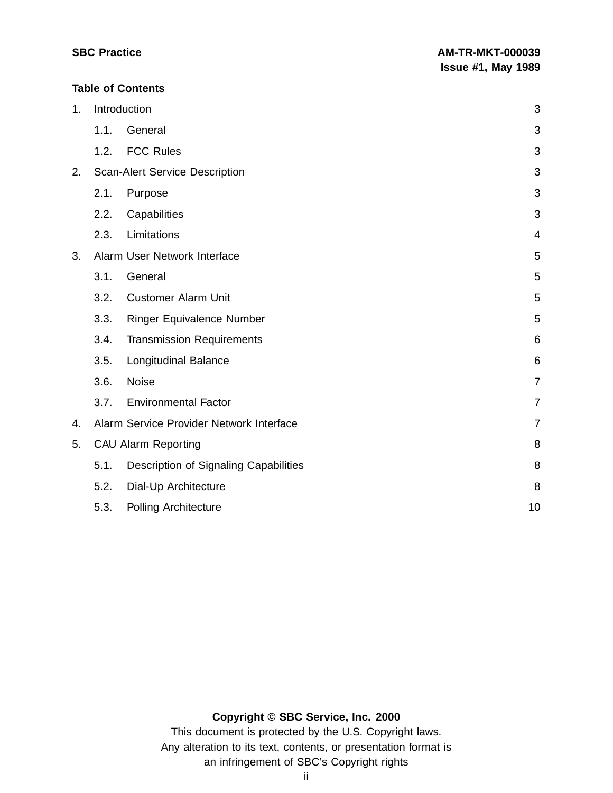## **Table of Contents**

| 1. | Introduction                             |                                       |                |
|----|------------------------------------------|---------------------------------------|----------------|
|    | 1.1.                                     | General                               | 3              |
|    | 1.2.                                     | <b>FCC Rules</b>                      | 3              |
| 2. | Scan-Alert Service Description           |                                       | 3              |
|    | 2.1.                                     | Purpose                               | 3              |
|    | 2.2.                                     | Capabilities                          | 3              |
|    | 2.3.                                     | Limitations                           | $\overline{4}$ |
| 3. | Alarm User Network Interface             |                                       | 5              |
|    | 3.1.                                     | General                               | 5              |
|    | 3.2.                                     | <b>Customer Alarm Unit</b>            | 5              |
|    | 3.3.                                     | <b>Ringer Equivalence Number</b>      | 5              |
|    | 3.4.                                     | <b>Transmission Requirements</b>      | 6              |
|    | 3.5.                                     | Longitudinal Balance                  | 6              |
|    | 3.6.                                     | <b>Noise</b>                          | $\overline{7}$ |
|    | 3.7.                                     | <b>Environmental Factor</b>           | $\overline{7}$ |
| 4. | Alarm Service Provider Network Interface |                                       | $\overline{7}$ |
| 5. | <b>CAU Alarm Reporting</b>               |                                       | 8              |
|    | 5.1.                                     | Description of Signaling Capabilities | 8              |
|    | 5.2.                                     | Dial-Up Architecture                  | 8              |
|    | 5.3.                                     | Polling Architecture                  | 10             |

## **Copyright © SBC Service, Inc. 2000**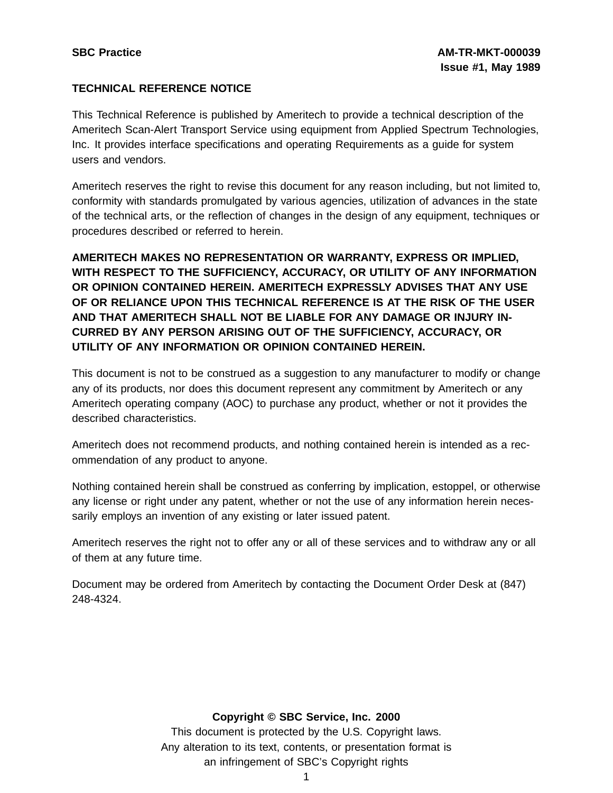## **TECHNICAL REFERENCE NOTICE**

This Technical Reference is published by Ameritech to provide a technical description of the Ameritech Scan-Alert Transport Service using equipment from Applied Spectrum Technologies, Inc. It provides interface specifications and operating Requirements as a guide for system users and vendors.

Ameritech reserves the right to revise this document for any reason including, but not limited to, conformity with standards promulgated by various agencies, utilization of advances in the state of the technical arts, or the reflection of changes in the design of any equipment, techniques or procedures described or referred to herein.

**AMERITECH MAKES NO REPRESENTATION OR WARRANTY, EXPRESS OR IMPLIED, WITH RESPECT TO THE SUFFICIENCY, ACCURACY, OR UTILITY OF ANY INFORMATION OR OPINION CONTAINED HEREIN. AMERITECH EXPRESSLY ADVISES THAT ANY USE OF OR RELIANCE UPON THIS TECHNICAL REFERENCE IS AT THE RISK OF THE USER AND THAT AMERITECH SHALL NOT BE LIABLE FOR ANY DAMAGE OR INJURY IN-CURRED BY ANY PERSON ARISING OUT OF THE SUFFICIENCY, ACCURACY, OR UTILITY OF ANY INFORMATION OR OPINION CONTAINED HEREIN.**

This document is not to be construed as a suggestion to any manufacturer to modify or change any of its products, nor does this document represent any commitment by Ameritech or any Ameritech operating company (AOC) to purchase any product, whether or not it provides the described characteristics.

Ameritech does not recommend products, and nothing contained herein is intended as a recommendation of any product to anyone.

Nothing contained herein shall be construed as conferring by implication, estoppel, or otherwise any license or right under any patent, whether or not the use of any information herein necessarily employs an invention of any existing or later issued patent.

Ameritech reserves the right not to offer any or all of these services and to withdraw any or all of them at any future time.

Document may be ordered from Ameritech by contacting the Document Order Desk at (847) 248-4324.

#### **Copyright © SBC Service, Inc. 2000**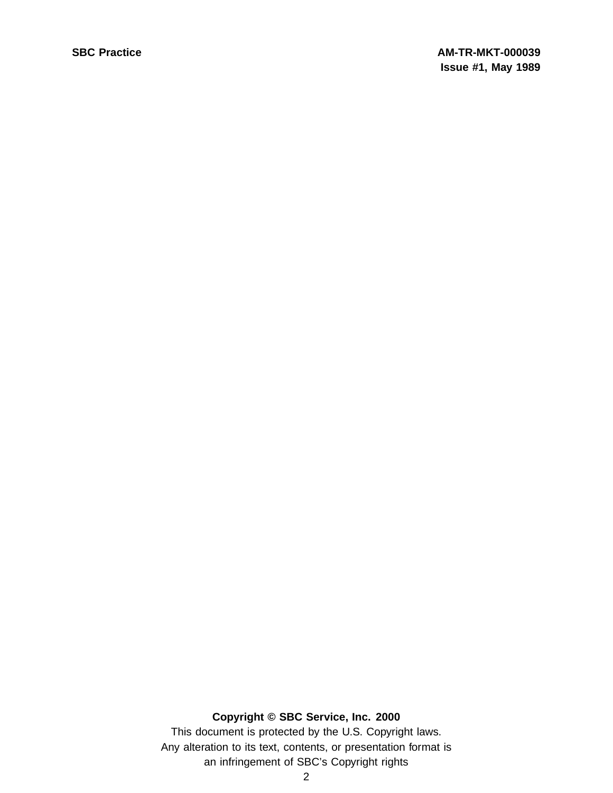## **Copyright © SBC Service, Inc. 2000**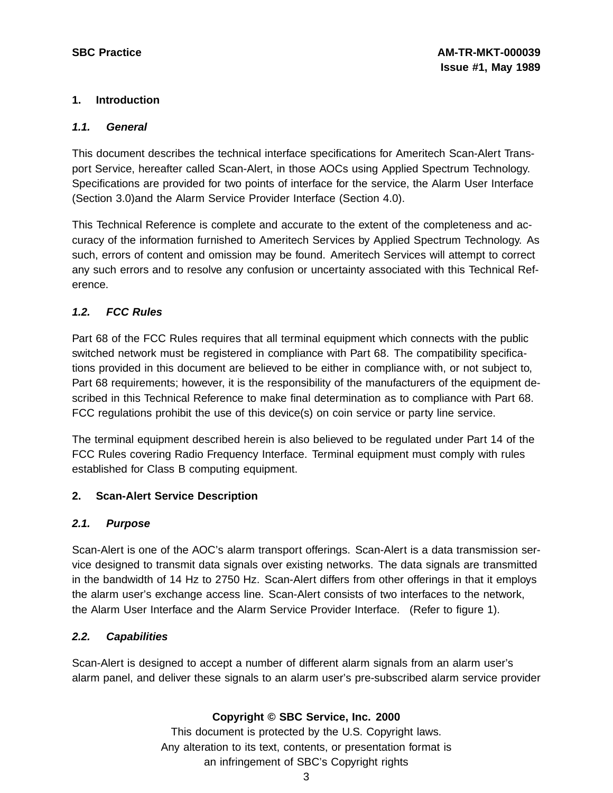## **1. Introduction**

## **1.1. General**

This document describes the technical interface specifications for Ameritech Scan-Alert Transport Service, hereafter called Scan-Alert, in those AOCs using Applied Spectrum Technology. Specifications are provided for two points of interface for the service, the Alarm User Interface (Section 3.0)and the Alarm Service Provider Interface (Section 4.0).

This Technical Reference is complete and accurate to the extent of the completeness and accuracy of the information furnished to Ameritech Services by Applied Spectrum Technology. As such, errors of content and omission may be found. Ameritech Services will attempt to correct any such errors and to resolve any confusion or uncertainty associated with this Technical Reference.

## **1.2. FCC Rules**

Part 68 of the FCC Rules requires that all terminal equipment which connects with the public switched network must be registered in compliance with Part 68. The compatibility specifications provided in this document are believed to be either in compliance with, or not subject to, Part 68 requirements; however, it is the responsibility of the manufacturers of the equipment described in this Technical Reference to make final determination as to compliance with Part 68. FCC regulations prohibit the use of this device(s) on coin service or party line service.

The terminal equipment described herein is also believed to be regulated under Part 14 of the FCC Rules covering Radio Frequency Interface. Terminal equipment must comply with rules established for Class B computing equipment.

## **2. Scan-Alert Service Description**

## **2.1. Purpose**

Scan-Alert is one of the AOC's alarm transport offerings. Scan-Alert is a data transmission service designed to transmit data signals over existing networks. The data signals are transmitted in the bandwidth of 14 Hz to 2750 Hz. Scan-Alert differs from other offerings in that it employs the alarm user's exchange access line. Scan-Alert consists of two interfaces to the network, the Alarm User Interface and the Alarm Service Provider Interface. (Refer to figure 1).

## **2.2. Capabilities**

Scan-Alert is designed to accept a number of different alarm signals from an alarm user's alarm panel, and deliver these signals to an alarm user's pre-subscribed alarm service provider

## **Copyright © SBC Service, Inc. 2000**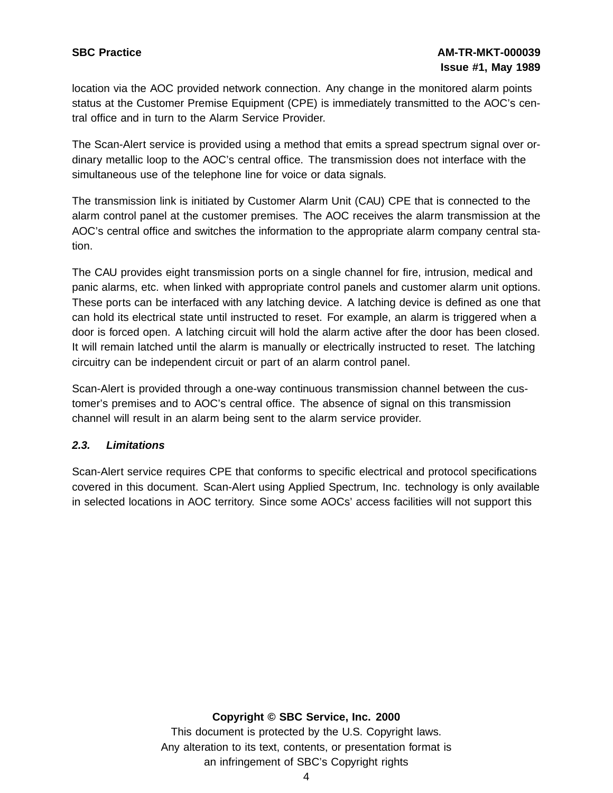location via the AOC provided network connection. Any change in the monitored alarm points status at the Customer Premise Equipment (CPE) is immediately transmitted to the AOC's central office and in turn to the Alarm Service Provider.

The Scan-Alert service is provided using a method that emits a spread spectrum signal over ordinary metallic loop to the AOC's central office. The transmission does not interface with the simultaneous use of the telephone line for voice or data signals.

The transmission link is initiated by Customer Alarm Unit (CAU) CPE that is connected to the alarm control panel at the customer premises. The AOC receives the alarm transmission at the AOC's central office and switches the information to the appropriate alarm company central station.

The CAU provides eight transmission ports on a single channel for fire, intrusion, medical and panic alarms, etc. when linked with appropriate control panels and customer alarm unit options. These ports can be interfaced with any latching device. A latching device is defined as one that can hold its electrical state until instructed to reset. For example, an alarm is triggered when a door is forced open. A latching circuit will hold the alarm active after the door has been closed. It will remain latched until the alarm is manually or electrically instructed to reset. The latching circuitry can be independent circuit or part of an alarm control panel.

Scan-Alert is provided through a one-way continuous transmission channel between the customer's premises and to AOC's central office. The absence of signal on this transmission channel will result in an alarm being sent to the alarm service provider.

## **2.3. Limitations**

Scan-Alert service requires CPE that conforms to specific electrical and protocol specifications covered in this document. Scan-Alert using Applied Spectrum, Inc. technology is only available in selected locations in AOC territory. Since some AOCs' access facilities will not support this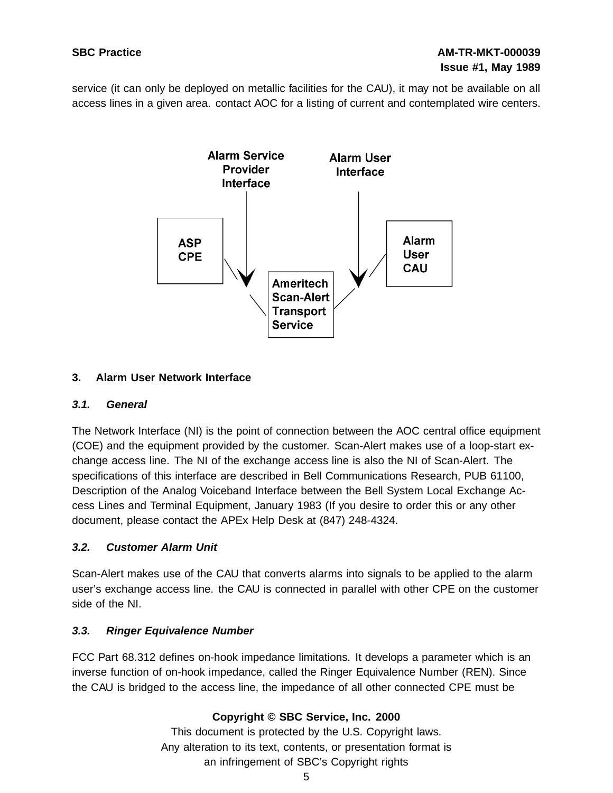service (it can only be deployed on metallic facilities for the CAU), it may not be available on all access lines in a given area. contact AOC for a listing of current and contemplated wire centers.



## **3. Alarm User Network Interface**

## **3.1. General**

The Network Interface (NI) is the point of connection between the AOC central office equipment (COE) and the equipment provided by the customer. Scan-Alert makes use of a loop-start exchange access line. The NI of the exchange access line is also the NI of Scan-Alert. The specifications of this interface are described in Bell Communications Research, PUB 61100, Description of the Analog Voiceband Interface between the Bell System Local Exchange Access Lines and Terminal Equipment, January 1983 (If you desire to order this or any other document, please contact the APEx Help Desk at (847) 248-4324.

## **3.2. Customer Alarm Unit**

Scan-Alert makes use of the CAU that converts alarms into signals to be applied to the alarm user's exchange access line. the CAU is connected in parallel with other CPE on the customer side of the NI.

## **3.3. Ringer Equivalence Number**

FCC Part 68.312 defines on-hook impedance limitations. It develops a parameter which is an inverse function of on-hook impedance, called the Ringer Equivalence Number (REN). Since the CAU is bridged to the access line, the impedance of all other connected CPE must be

## **Copyright © SBC Service, Inc. 2000**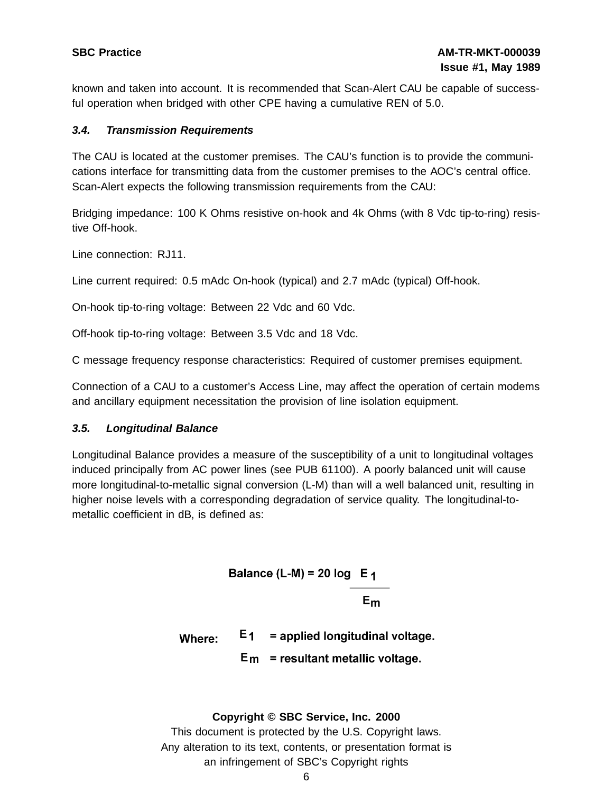known and taken into account. It is recommended that Scan-Alert CAU be capable of successful operation when bridged with other CPE having a cumulative REN of 5.0.

## **3.4. Transmission Requirements**

The CAU is located at the customer premises. The CAU's function is to provide the communications interface for transmitting data from the customer premises to the AOC's central office. Scan-Alert expects the following transmission requirements from the CAU:

Bridging impedance: 100 K Ohms resistive on-hook and 4k Ohms (with 8 Vdc tip-to-ring) resistive Off-hook.

Line connection: RJ11.

Line current required: 0.5 mAdc On-hook (typical) and 2.7 mAdc (typical) Off-hook.

On-hook tip-to-ring voltage: Between 22 Vdc and 60 Vdc.

Off-hook tip-to-ring voltage: Between 3.5 Vdc and 18 Vdc.

C message frequency response characteristics: Required of customer premises equipment.

Connection of a CAU to a customer's Access Line, may affect the operation of certain modems and ancillary equipment necessitation the provision of line isolation equipment.

## **3.5. Longitudinal Balance**

Longitudinal Balance provides a measure of the susceptibility of a unit to longitudinal voltages induced principally from AC power lines (see PUB 61100). A poorly balanced unit will cause more longitudinal-to-metallic signal conversion (L-M) than will a well balanced unit, resulting in higher noise levels with a corresponding degradation of service quality. The longitudinal-tometallic coefficient in dB, is defined as:

Balance (L-M) = 20 log 
$$
E_1
$$
  
 $E_m$ 

 $E_1$  = applied longitudinal voltage. Where:  $Em = resultant$  metallic voltage.

## **Copyright © SBC Service, Inc. 2000**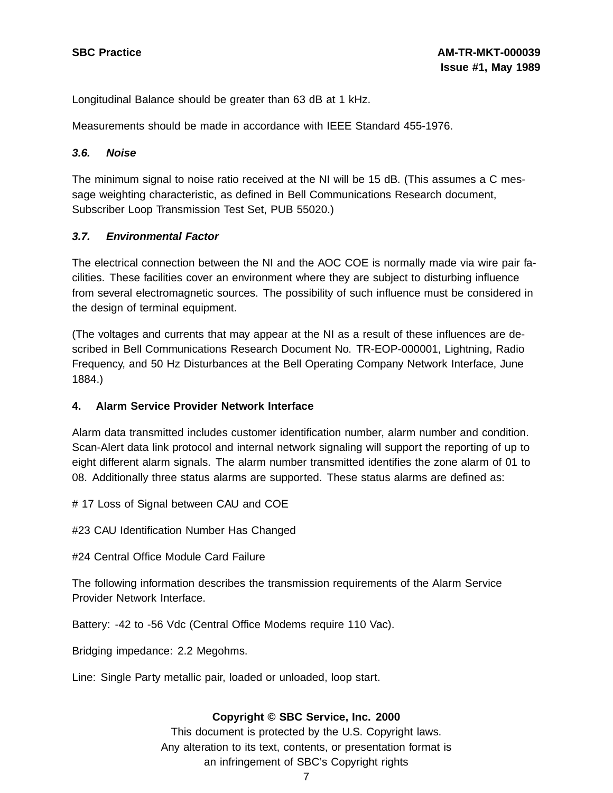Longitudinal Balance should be greater than 63 dB at 1 kHz.

Measurements should be made in accordance with IEEE Standard 455-1976.

#### **3.6. Noise**

The minimum signal to noise ratio received at the NI will be 15 dB. (This assumes a C message weighting characteristic, as defined in Bell Communications Research document, Subscriber Loop Transmission Test Set, PUB 55020.)

## **3.7. Environmental Factor**

The electrical connection between the NI and the AOC COE is normally made via wire pair facilities. These facilities cover an environment where they are subject to disturbing influence from several electromagnetic sources. The possibility of such influence must be considered in the design of terminal equipment.

(The voltages and currents that may appear at the NI as a result of these influences are described in Bell Communications Research Document No. TR-EOP-000001, Lightning, Radio Frequency, and 50 Hz Disturbances at the Bell Operating Company Network Interface, June 1884.)

#### **4. Alarm Service Provider Network Interface**

Alarm data transmitted includes customer identification number, alarm number and condition. Scan-Alert data link protocol and internal network signaling will support the reporting of up to eight different alarm signals. The alarm number transmitted identifies the zone alarm of 01 to 08. Additionally three status alarms are supported. These status alarms are defined as:

# 17 Loss of Signal between CAU and COE

#23 CAU Identification Number Has Changed

#24 Central Office Module Card Failure

The following information describes the transmission requirements of the Alarm Service Provider Network Interface.

Battery: -42 to -56 Vdc (Central Office Modems require 110 Vac).

Bridging impedance: 2.2 Megohms.

Line: Single Party metallic pair, loaded or unloaded, loop start.

#### **Copyright © SBC Service, Inc. 2000**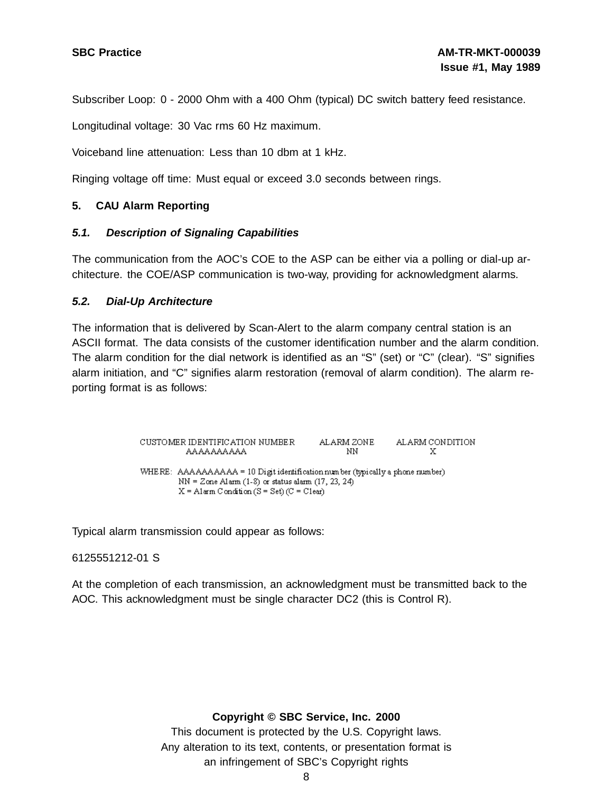Subscriber Loop: 0 - 2000 Ohm with a 400 Ohm (typical) DC switch battery feed resistance.

Longitudinal voltage: 30 Vac rms 60 Hz maximum.

Voiceband line attenuation: Less than 10 dbm at 1 kHz.

Ringing voltage off time: Must equal or exceed 3.0 seconds between rings.

## **5. CAU Alarm Reporting**

#### **5.1. Description of Signaling Capabilities**

The communication from the AOC's COE to the ASP can be either via a polling or dial-up architecture. the COE/ASP communication is two-way, providing for acknowledgment alarms.

#### **5.2. Dial-Up Architecture**

The information that is delivered by Scan-Alert to the alarm company central station is an ASCII format. The data consists of the customer identification number and the alarm condition. The alarm condition for the dial network is identified as an "S" (set) or "C" (clear). "S" signifies alarm initiation, and "C" signifies alarm restoration (removal of alarm condition). The alarm reporting format is as follows:

> ALARM CONDITION  $\begin{minipage}{0.9\linewidth} \texttt{CUSTOMER} \texttt{IDENTIFICATION NUMBER} \end{minipage} \begin{minipage}{0.9\linewidth} \texttt{ALARM} \texttt{ZONE} \end{minipage}$ AAAAAAAAAA NN x WHERE: AAAAAAAAAA = 10 Digit identification number (typically a phone number)  $NN = Z$ one Alarm (1-8) or status alarm (17, 23, 24)  $X =$  Alarm Condition (S = Set) (C = Clear)

Typical alarm transmission could appear as follows:

6125551212-01 S

At the completion of each transmission, an acknowledgment must be transmitted back to the AOC. This acknowledgment must be single character DC2 (this is Control R).

#### **Copyright © SBC Service, Inc. 2000**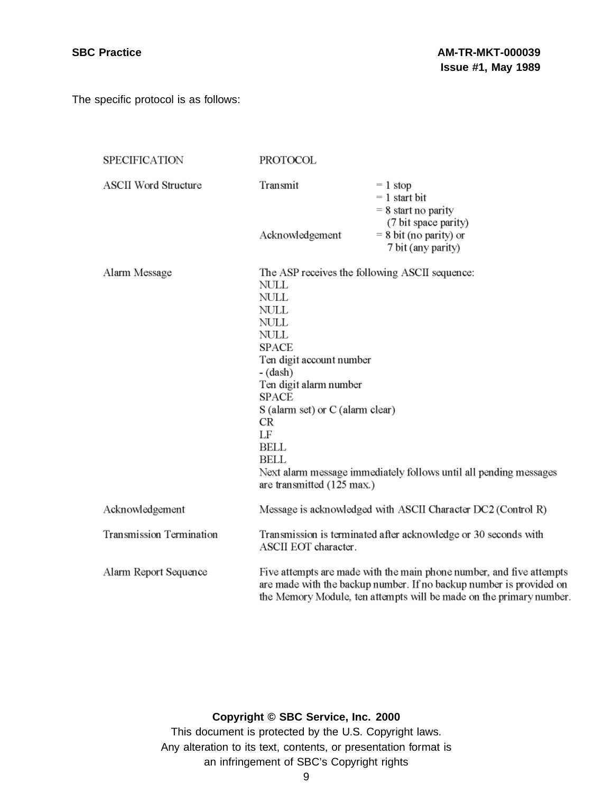The specific protocol is as follows:

| <b>SPECIFICATION</b>        | PROTOCOL                                                                                                                                                                                                                                                                                                                                                                  |                                                                                |  |
|-----------------------------|---------------------------------------------------------------------------------------------------------------------------------------------------------------------------------------------------------------------------------------------------------------------------------------------------------------------------------------------------------------------------|--------------------------------------------------------------------------------|--|
| <b>ASCII Word Structure</b> | Transmit                                                                                                                                                                                                                                                                                                                                                                  | $= 1$ stop<br>$= 1$ start bit<br>$= 8$ start no parity<br>(7 bit space parity) |  |
|                             | Acknowledgement                                                                                                                                                                                                                                                                                                                                                           | $= 8$ bit (no parity) or<br>7 bit (any parity)                                 |  |
| Alarm Message               | The ASP receives the following ASCII sequence:<br>NULL<br>NULL<br>NULL<br>NULL<br>NULL<br><b>SPACE</b><br>Ten digit account number<br>- (dash)<br>Ten digit alarm number<br><b>SPACE</b><br>S (alarm set) or C (alarm clear)<br>CR<br>LF<br><b>BELL</b><br><b>BELL</b><br>Next alarm message immediately follows until all pending messages<br>are transmitted (125 max.) |                                                                                |  |
| Acknowledgement             | Message is acknowledged with ASCII Character DC2 (Control R)                                                                                                                                                                                                                                                                                                              |                                                                                |  |
| Transmission Termination    | Transmission is terminated after acknowledge or 30 seconds with<br>ASCII EOT character.                                                                                                                                                                                                                                                                                   |                                                                                |  |
| Alarm Report Sequence       | Five attempts are made with the main phone number, and five attempts<br>are made with the backup number. If no backup number is provided on<br>the Memory Module, ten attempts will be made on the primary number.                                                                                                                                                        |                                                                                |  |

## **Copyright © SBC Service, Inc. 2000**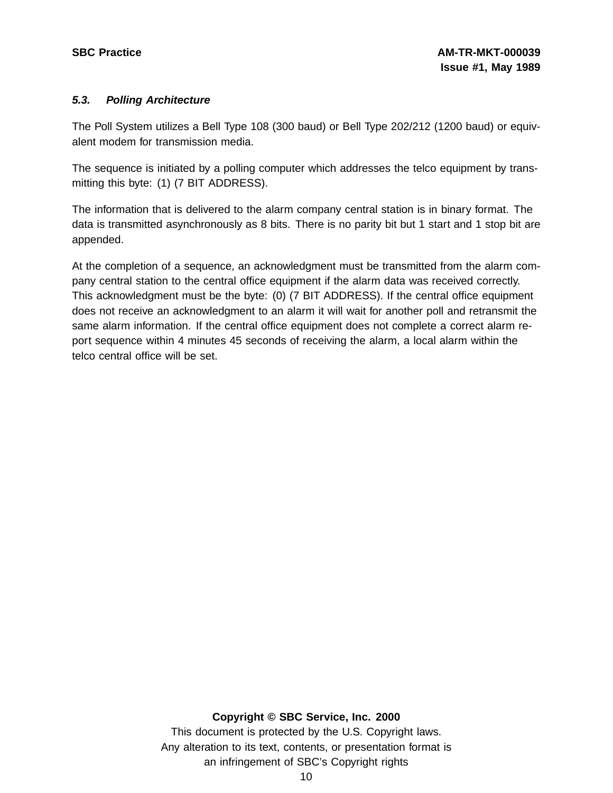#### **5.3. Polling Architecture**

The Poll System utilizes a Bell Type 108 (300 baud) or Bell Type 202/212 (1200 baud) or equivalent modem for transmission media.

The sequence is initiated by a polling computer which addresses the telco equipment by transmitting this byte: (1) (7 BIT ADDRESS).

The information that is delivered to the alarm company central station is in binary format. The data is transmitted asynchronously as 8 bits. There is no parity bit but 1 start and 1 stop bit are appended.

At the completion of a sequence, an acknowledgment must be transmitted from the alarm company central station to the central office equipment if the alarm data was received correctly. This acknowledgment must be the byte: (0) (7 BIT ADDRESS). If the central office equipment does not receive an acknowledgment to an alarm it will wait for another poll and retransmit the same alarm information. If the central office equipment does not complete a correct alarm report sequence within 4 minutes 45 seconds of receiving the alarm, a local alarm within the telco central office will be set.

#### **Copyright © SBC Service, Inc. 2000**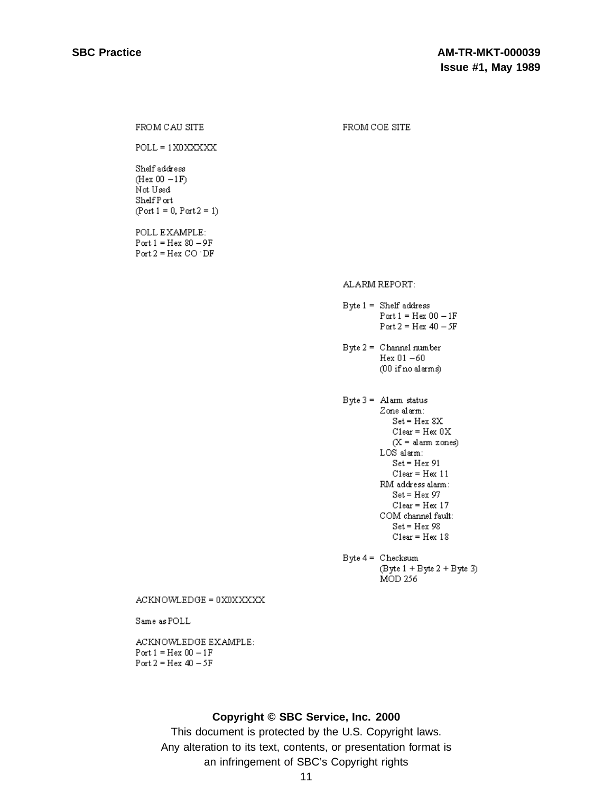FROM CAU SITE

FROM COE SITE

 $POLL = 1 XDXXXX$ 

Shelf address  $(Hex 00 - 1F)$ Not Used  ${\tt ShelfPort}$  $(Port 1 = 0, Port 2 = 1)$ 

POLL EXAMPLE:  $Port1 = Hex 80 - 9F$  $Port2 = Hex CO \cap DF$ 

ALARM REPORT:

- Byte  $1 =$  Shelf address  $Port1 = Hex00 - 1F$ Port  $2 =$  Hex  $40 - 5F$
- Byte  $2 =$  Channel number Hex $01-60$ (00 if no alarms)
- $Byte 3 =$  Alarm status Zone alarm:  $Set = Hex 8X$  $\text{Clear}=\text{Hex OX}$  $(X = \text{darm zones})$ LOS alarm:  $Set = Hex 91$  $Clear = Hex 11$ RM address alarm:  $Set = Hex 97$  $Clear = Hex 17$ COM channel fault:  $Set = Hex 98$  $Clear = Hex 18$
- Byte  $4 =$  Checksum  $(B$ yte  $1 + By$ te  $2 + By$ te  $3)$ MOD 256

ACKNOWLEDGE = 0X0XXXXX

Same as POLL

ACKNOWLEDGE EXAMPLE:  $Port 1 = Hex 00 - 1F$  $Port2 = Hex40 - 5F$ 

#### **Copyright © SBC Service, Inc. 2000**